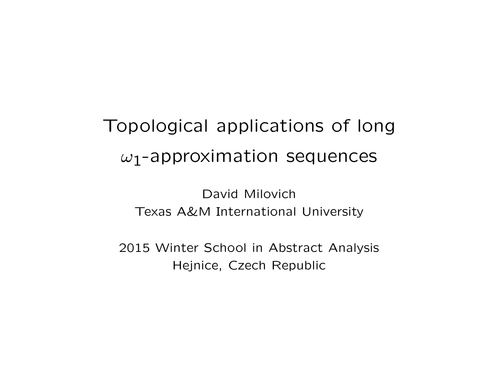# Topological applications of long  $\omega_1$ -approximation sequences

David Milovich Texas A&M International University

2015 Winter School in Abstract Analysis Hejnice, Czech Republic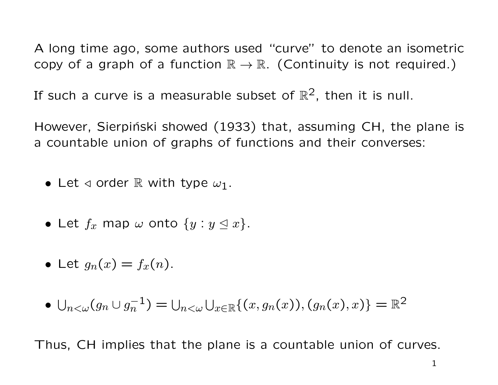A long time ago, some authors used "curve" to denote an isometric copy of a graph of a function  $\mathbb{R} \to \mathbb{R}$ . (Continuity is not required.)

If such a curve is a measurable subset of  $\mathbb{R}^2$ , then it is null.

However, Sierpiński showed (1933) that, assuming CH, the plane is a countable union of graphs of functions and their converses:

- Let  $\triangleleft$  order R with type  $\omega_1$ .
- Let  $f_x$  map  $\omega$  onto  $\{y : y \leq x\}$ .
- Let  $g_n(x) = f_x(n)$ .
- $\bigcup_{n < \omega} (g_n \cup g_n^{-1}) = \bigcup_{n < \omega} \bigcup_{x \in \mathbb{R}} \{ (x, g_n(x)), (g_n(x), x) \} = \mathbb{R}^2$

Thus, CH implies that the plane is a countable union of curves.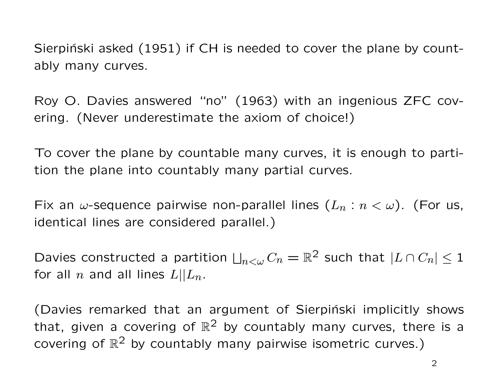Sierpinski asked (1951) if CH is needed to cover the plane by countably many curves.

Roy O. Davies answered "no" (1963) with an ingenious ZFC covering. (Never underestimate the axiom of choice!)

To cover the plane by countable many curves, it is enough to partition the plane into countably many partial curves.

Fix an  $\omega$ -sequence pairwise non-parallel lines  $(L_n : n < \omega)$ . (For us, identical lines are considered parallel.)

Davies constructed a partition  $\bigsqcup_{n<\omega}C_n=\mathbb{R}^2$  such that  $|L\cap C_n|\leq 1$ for all n and all lines  $L||L_n$ .

(Davies remarked that an argument of Sierpiński implicitly shows that, given a covering of  $\mathbb{R}^2$  by countably many curves, there is a covering of  $\mathbb{R}^2$  by countably many pairwise isometric curves.)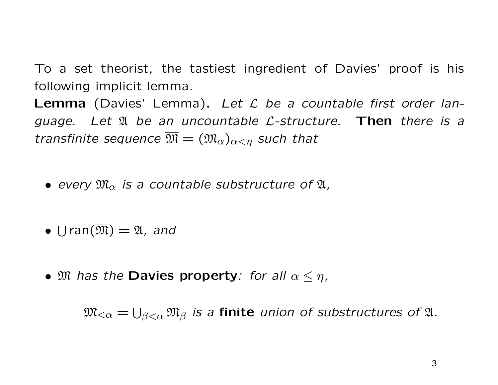To a set theorist, the tastiest ingredient of Davies' proof is his following implicit lemma.

**Lemma** (Davies' Lemma). Let  $\mathcal L$  be a countable first order language. Let  $\mathfrak A$  be an uncountable *L*-structure. Then there is a transfinite sequence  $\overline{\mathfrak{M}} = (\mathfrak{M}_{\alpha})_{\alpha < \eta}$  such that

- every  $\mathfrak{M}_{\alpha}$  is a countable substructure of  $\mathfrak{A}_{n}$ ,
- $\bullet$   $\bigcup$ ran $(\overline{\mathfrak{M}}) = \mathfrak{A}$ , and
- $\mathfrak M$  has the Davies property: for all  $\alpha \leq \eta$ ,

 $\mathfrak{M}_{<\alpha}=\bigcup_{\beta<\alpha}\mathfrak{M}_\beta$  is a **finite** union of substructures of  $\mathfrak A.$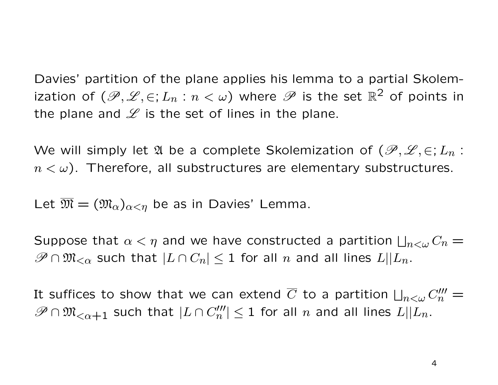Davies' partition of the plane applies his lemma to a partial Skolemization of  $(\mathscr{P}, \mathscr{L}, \in; L_n : n < \omega)$  where  $\mathscr{P}$  is the set  $\mathbb{R}^2$  of points in the plane and  $\mathscr L$  is the set of lines in the plane.

We will simply let  $\mathfrak A$  be a complete Skolemization of  $(\mathscr P,\mathscr L,\in;L_n:$  $n < \omega$ ). Therefore, all substructures are elementary substructures.

Let  $\overline{\mathfrak{M}} = (\mathfrak{M}_{\alpha})_{\alpha < \eta}$  be as in Davies' Lemma.

Suppose that  $\alpha < \eta$  and we have constructed a partition  $\bigsqcup_{n < \omega} C_n =$  $\mathscr{P} \cap \mathfrak{M}_{<\alpha}$  such that  $|L \cap C_n| \leq 1$  for all n and all lines  $L||L_n$ .

It suffices to show that we can extend  $\overline{C}$  to a partition  $\bigsqcup_{n<\omega}C_n'''=$  $\mathscr{P}\cap\mathfrak{M}_{<\alpha+1}$  such that  $|L\cap C_n'''|\leq 1$  for all n and all lines  $L||L_n$ .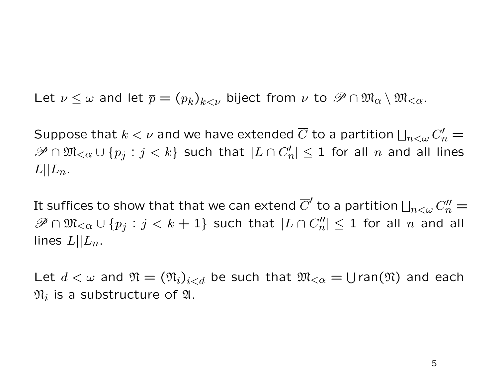Let  $\nu \leq \omega$  and let  $\overline{p} = (p_k)_{k \leq \nu}$  biject from  $\nu$  to  $\mathscr{P} \cap \mathfrak{M}_{\alpha} \setminus \mathfrak{M}_{\leq \alpha}$ .

Suppose that  $k < \nu$  and we have extended  $\overline{C}$  to a partition  $\bigsqcup_{n < \omega} C'_n = \emptyset$  $\mathscr{P}\cap\mathfrak{M}_{\leq\alpha}\cup\{p_j:j such that  $|L\cap C'_n|\leq 1$  for all  $n$  and all lines$  $L||L_n$ .

It suffices to show that that we can extend  $\overline{C}'$  to a partition  $\bigsqcup_{n<\omega}C''_n=$  $\mathscr{P}\cap\mathfrak{M}_{\leq\alpha}\cup\{p_j:j such that  $|L\cap C''_n|\leq 1$  for all  $n$  and all$ lines  $L||L_n$ .

Let  $d < \omega$  and  $\overline{\mathfrak{N}} = (\mathfrak{N}_i)_{i < d}$  be such that  $\mathfrak{M}_{< \alpha} = \bigcup \text{ran}(\overline{\mathfrak{N}})$  and each  $\mathfrak{N}_i$  is a substructure of  $\mathfrak{A}.$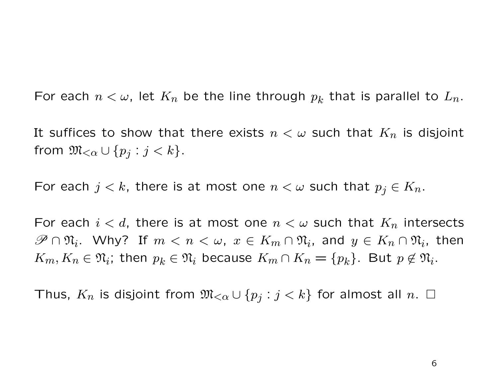For each  $n < \omega$ , let  $K_n$  be the line through  $p_k$  that is parallel to  $L_n$ .

It suffices to show that there exists  $n < \omega$  such that  $K_n$  is disjoint from  $\mathfrak{M}_{<\alpha}\cup\{p_j:j$ 

For each  $j < k$ , there is at most one  $n < \omega$  such that  $p_j \in K_n$ .

For each  $i < d$ , there is at most one  $n < \omega$  such that  $K_n$  intersects  $\mathscr{P} \cap \mathfrak{N}_i$ . Why? If  $m < n < \omega$ ,  $x \in K_m \cap \mathfrak{N}_i$ , and  $y \in K_n \cap \mathfrak{N}_i$ , then  $K_m, K_n \in \mathfrak{N}_i$ ; then  $p_k \in \mathfrak{N}_i$  because  $K_m \cap K_n = \{p_k\}$ . But  $p \notin \mathfrak{N}_i$ .

Thus,  $K_n$  is disjoint from  $\mathfrak{M}_{\leq \alpha} \cup \{p_j : j < k\}$  for almost all  $n.$   $\Box$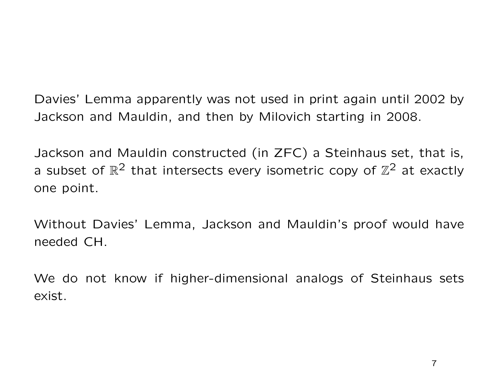Davies' Lemma apparently was not used in print again until 2002 by Jackson and Mauldin, and then by Milovich starting in 2008.

Jackson and Mauldin constructed (in ZFC) a Steinhaus set, that is, a subset of  $\mathbb{R}^2$  that intersects every isometric copy of  $\mathbb{Z}^2$  at exactly one point.

Without Davies' Lemma, Jackson and Mauldin's proof would have needed CH.

We do not know if higher-dimensional analogs of Steinhaus sets exist.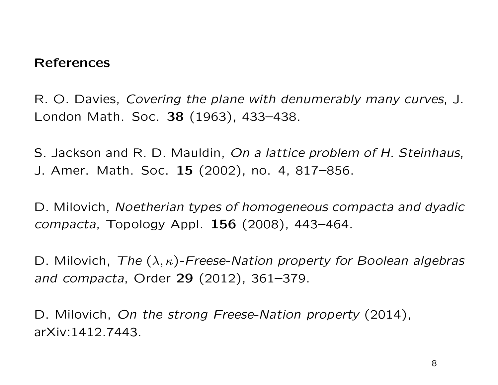#### References

R. O. Davies, Covering the plane with denumerably many curves, J. London Math. Soc. 38 (1963), 433–438.

S. Jackson and R. D. Mauldin, On a lattice problem of H. Steinhaus, J. Amer. Math. Soc. 15 (2002), no. 4, 817–856.

D. Milovich, Noetherian types of homogeneous compacta and dyadic compacta, Topology Appl. 156 (2008), 443–464.

D. Milovich, The  $(\lambda, \kappa)$ -Freese-Nation property for Boolean algebras and compacta, Order 29 (2012), 361–379.

D. Milovich, On the strong Freese-Nation property (2014), arXiv:1412.7443.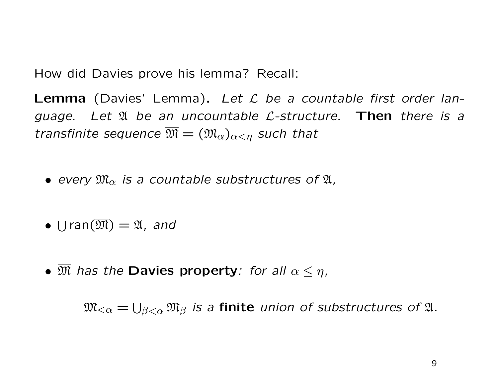How did Davies prove his lemma? Recall:

**Lemma** (Davies' Lemma). Let  $L$  be a countable first order language. Let  $\mathfrak A$  be an uncountable  $\mathcal L$ -structure. Then there is a transfinite sequence  $\overline{\mathfrak{M}} = (\mathfrak{M}_{\alpha})_{\alpha < \eta}$  such that

- every  $\mathfrak{M}_{\alpha}$  is a countable substructures of  $\mathfrak{A}_{n}$ ,
- $\bullet$   $\bigcup$ ran $(\overline{\mathfrak{M}}) = \mathfrak{A}$ , and
- $\overline{\mathfrak{M}}$  has the Davies property: for all  $\alpha \leq \eta$ ,

 $\mathfrak{M}_{<\alpha}=\bigcup_{\beta<\alpha}\mathfrak{M}_\beta$  is a finite union of substructures of  $\mathfrak A.$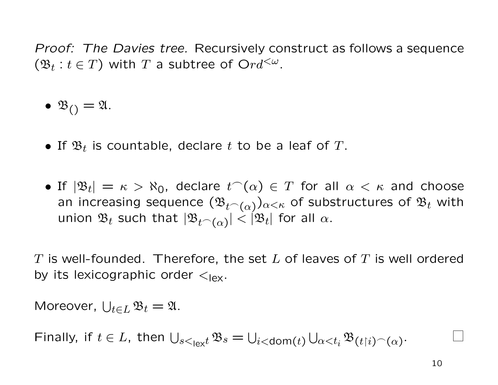Proof: The Davies tree. Recursively construct as follows a sequence  $(\mathfrak{B}_t : t \in T)$  with T a subtree of  $Ord^{{<}\omega}$ .

 $\bullet$   $\mathfrak{B}_{()} = \mathfrak{A}.$ 

- If  $\mathfrak{B}_t$  is countable, declare  $t$  to be a leaf of  $T$ .
- If  $|\mathfrak{B}_t| = \kappa > \aleph_0$ , declare  $t^-(\alpha) \in T$  for all  $\alpha < \kappa$  and choose an increasing sequence  $(\mathfrak{B}_{t^\frown(\alpha)})_{\alpha<\kappa}$  of substructures of  $\mathfrak{B}_t$  with union  $\mathfrak{B}_t$  such that  $|\mathfrak{B}_{t^\frown(\alpha)}|<|\mathfrak{B}_t|$  for all  $\alpha$ .

 $T$  is well-founded. Therefore, the set  $L$  of leaves of  $T$  is well ordered by its lexicographic order  $\lt_{\text{lex}}$ .

Moreover,  $\bigcup_{t \in L} \mathfrak{B}_t = \mathfrak{A}.$ 

Finally, if  $t \in L$ , then  $\bigcup_{s \leq \text{lex} t} \mathfrak{B}_s = \bigcup_{i < \text{dom}(t)} \bigcup_{\alpha < t_i} \mathfrak{B}_{(t \restriction i)^\frown (\alpha)}$ .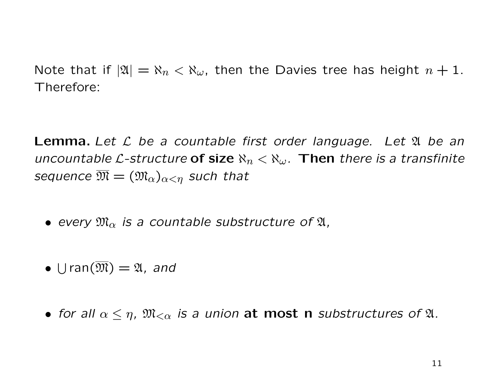Note that if  $|\mathfrak{A}| = \aleph_n < \aleph_\omega$ , then the Davies tree has height  $n + 1$ . Therefore:

**Lemma.** Let  $\mathcal L$  be a countable first order language. Let  $\mathfrak A$  be an uncountable L-structure of size  $\aleph_n < \aleph_\omega$ . Then there is a transfinite sequence  $\overline{\mathfrak{M}} = (\mathfrak{M}_{\alpha})_{\alpha < \eta}$  such that

- every  $\mathfrak{M}_{\alpha}$  is a countable substructure of  $\mathfrak{A}_{I}$ ,
- $\bullet$   $\bigcup$ ran $(\overline{\mathfrak{M}}) = \mathfrak{A}$ , and
- for all  $\alpha \leq \eta$ ,  $\mathfrak{M}_{<\alpha}$  is a union at most n substructures of  $\mathfrak{A}$ .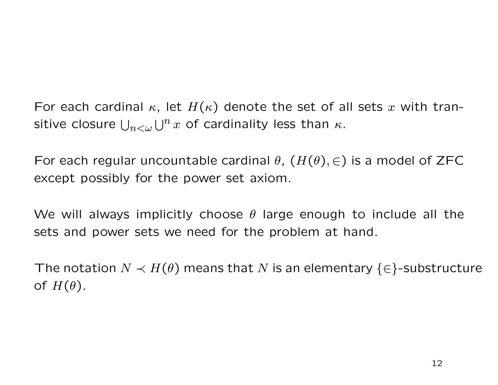For each cardinal  $\kappa$ , let  $H(\kappa)$  denote the set of all sets x with transitive closure  $\bigcup_{n<\omega}\bigcup^nx$  of cardinality less than  $\kappa.$ 

For each regular uncountable cardinal  $\theta$ ,  $(H(\theta), \in)$  is a model of ZFC except possibly for the power set axiom.

We will always implicitly choose  $\theta$  large enough to include all the sets and power sets we need for the problem at hand.

The notation  $N \prec H(\theta)$  means that N is an elementary  $\{\in\}$ -substructure of  $H(\theta)$ .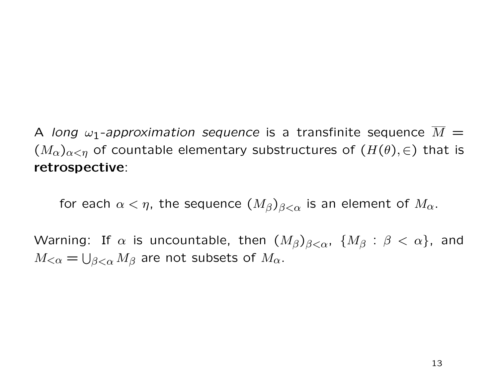A long  $\omega_1$ -approximation sequence is a transfinite sequence  $\overline{M}$  =  $(M_{\alpha})_{\alpha<\eta}$  of countable elementary substructures of  $(H(\theta), \in)$  that is retrospective:

for each  $\alpha < \eta$ , the sequence  $(M_\beta)_{\beta < \alpha}$  is an element of  $M_\alpha$ .

Warning: If  $\alpha$  is uncountable, then  $(M_\beta)_{\beta<\alpha}$ ,  $\{M_\beta: \beta<\alpha\}$ , and  $M_{<\alpha} = \bigcup_{\beta<\alpha} M_\beta$  are not subsets of  $M_\alpha.$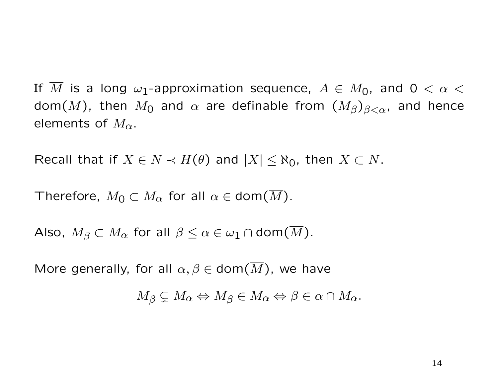If  $\overline{M}$  is a long  $\omega_1$ -approximation sequence,  $A \in M_0$ , and  $0 < \alpha <$ dom $(\overline{M})$ , then  $M_0$  and  $\alpha$  are definable from  $(M_\beta)_{\beta<\alpha}$ , and hence elements of  $M_{\alpha}$ .

Recall that if  $X \in N \prec H(\theta)$  and  $|X| \leq \aleph_0$ , then  $X \subset N$ .

Therefore,  $M_0 \subset M_\alpha$  for all  $\alpha \in \text{dom}(M)$ .

Also,  $M_{\beta} \subset M_{\alpha}$  for all  $\beta \leq \alpha \in \omega_1 \cap \text{dom}(\overline{M})$ .

More generally, for all  $\alpha, \beta \in \text{dom}(M)$ , we have

 $M_{\beta} \subsetneq M_{\alpha} \Leftrightarrow M_{\beta} \in M_{\alpha} \Leftrightarrow \beta \in \alpha \cap M_{\alpha}.$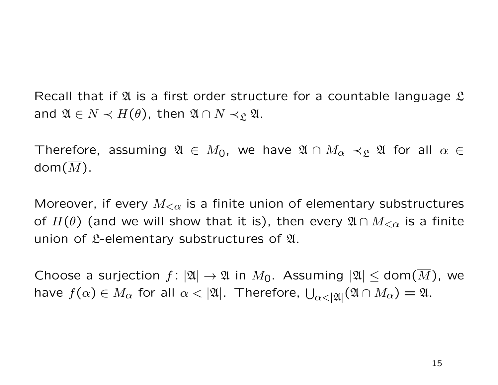Recall that if  $\mathfrak A$  is a first order structure for a countable language  $\mathfrak L$ and  $\mathfrak{A} \in N \prec H(\theta)$ , then  $\mathfrak{A} \cap N \prec_{\mathfrak{L}} \mathfrak{A}$ .

Therefore, assuming  $\mathfrak{A} \in M_0$ , we have  $\mathfrak{A} \cap M_\alpha \prec_{\mathfrak{L}} \mathfrak{A}$  for all  $\alpha \in$  $\mathsf{dom}(\overline{M}).$ 

Moreover, if every  $M_{\leq \alpha}$  is a finite union of elementary substructures of  $H(\theta)$  (and we will show that it is), then every  $\mathfrak{A} \cap M_{\leq \alpha}$  is a finite union of  $\mathfrak{L}$ -elementary substructures of  $\mathfrak{A}$ .

Choose a surjection  $f: |\mathfrak{A}| \to \mathfrak{A}$  in  $M_0$ . Assuming  $|\mathfrak{A}| \leq \text{dom}(\overline{M})$ , we have  $f(\alpha)\in M_\alpha$  for all  $\alpha<|\mathfrak{A}|.$  Therefore,  $\bigcup_{\alpha<|\mathfrak{A}|}(\mathfrak{A}\cap M_\alpha)=\mathfrak{A}.$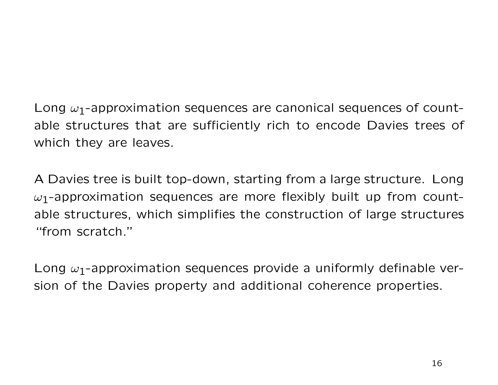Long  $\omega_1$ -approximation sequences are canonical sequences of countable structures that are sufficiently rich to encode Davies trees of which they are leaves.

A Davies tree is built top-down, starting from a large structure. Long  $\omega_1$ -approximation sequences are more flexibly built up from countable structures, which simplifies the construction of large structures "from scratch."

Long  $\omega_1$ -approximation sequences provide a uniformly definable version of the Davies property and additional coherence properties.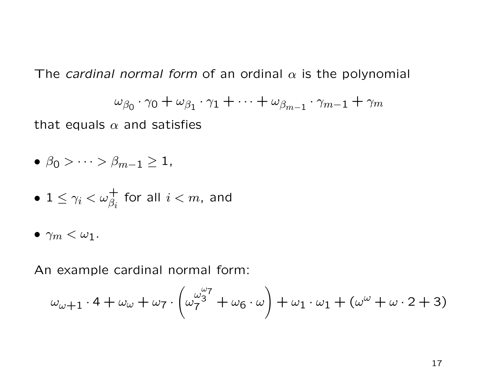The cardinal normal form of an ordinal  $\alpha$  is the polynomial

$$
\omega_{\beta_0}\cdot \gamma_0+\omega_{\beta_1}\cdot \gamma_1+\cdots +\omega_{\beta_{m-1}}\cdot \gamma_{m-1}+\gamma_m
$$

that equals  $\alpha$  and satisfies

$$
\bullet \ \beta_0 > \cdots > \beta_{m-1} \geq 1,
$$

$$
\bullet \ \ 1 \leq \gamma_i < \omega_{\beta_i}^+ \ \ \text{for all} \ \ i < m, \ \ \text{and}
$$

 $\bullet$   $\gamma_m < \omega_1$ .

An example cardinal normal form:

$$
\omega_{\omega+1} \cdot 4 + \omega_{\omega} + \omega_7 \cdot \left(\omega_7^{\omega_3^2} + \omega_6 \cdot \omega\right) + \omega_1 \cdot \omega_1 + \left(\omega^{\omega} + \omega \cdot 2 + 3\right)
$$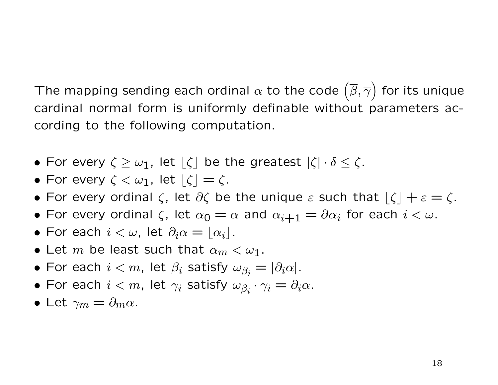The mapping sending each ordinal  $\alpha$  to the code  $\left(\overline{\beta},\overline{\gamma}\right)$  for its unique cardinal normal form is uniformly definable without parameters according to the following computation.

- For every  $\zeta \geq \omega_1$ , let  $|\zeta|$  be the greatest  $|\zeta| \cdot \delta \leq \zeta$ .
- For every  $\zeta < \omega_1$ , let  $|\zeta| = \zeta$ .
- For every ordinal  $\zeta$ , let  $\partial \zeta$  be the unique  $\varepsilon$  such that  $|\zeta| + \varepsilon = \zeta$ .
- For every ordinal  $\zeta$ , let  $\alpha_0 = \alpha$  and  $\alpha_{i+1} = \partial \alpha_i$  for each  $i < \omega$ .
- For each  $i < \omega$ , let  $\partial_i \alpha = |\alpha_i|$ .
- Let m be least such that  $\alpha_m < \omega_1$ .
- $\bullet$  For each  $i < m$ , let  $\beta_i$  satisfy  $\omega_{\beta_i} = |\partial_i \alpha|.$
- $\bullet$  For each  $i < m$ , let  $\gamma_i$  satisfy  $\omega_{\beta_i} \cdot \gamma_i = \partial_i \alpha$ .
- Let  $\gamma_m = \partial_m \alpha$ .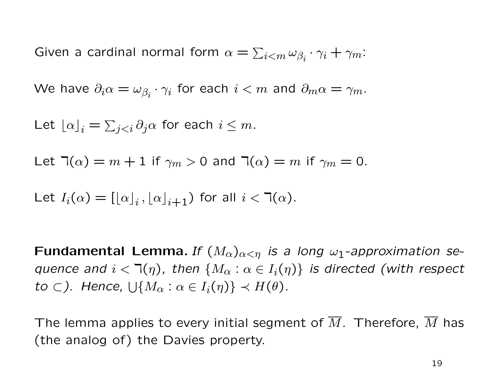Given a cardinal normal form  $\alpha = \sum_{i \leq m} \omega_{\beta_i} \cdot \gamma_i + \gamma_m$ :

We have  $\partial_i \alpha = \omega_{\beta_i} \cdot \gamma_i$  for each  $i < m$  and  $\partial_m \alpha = \gamma_m.$ 

Let  $\lfloor \alpha \rfloor_i = \sum_{j < i} \partial_j \alpha$  for each  $i \leq m$ .

Let  $\mathcal{T}(\alpha) = m + 1$  if  $\gamma_m > 0$  and  $\mathcal{T}(\alpha) = m$  if  $\gamma_m = 0$ .

Let  $I_i(\alpha) = [[\alpha]_i, [\alpha]_{i+1})$  for all  $i < \mathbb{I}(\alpha)$ .

**Fundamental Lemma.** If  $(M_\alpha)_{\alpha<\eta}$  is a long  $\omega_1$ -approximation sequence and  $i < \mathbb{I}(\eta)$ , then  $\{M_\alpha : \alpha \in I_i(\eta)\}\$  is directed (with respect to  $\subset$ ). Hence,  $\bigcup \{M_\alpha : \alpha \in I_i(\eta)\} \prec H(\theta)$ .

The lemma applies to every initial segment of  $\overline{M}$ . Therefore,  $\overline{M}$  has (the analog of) the Davies property.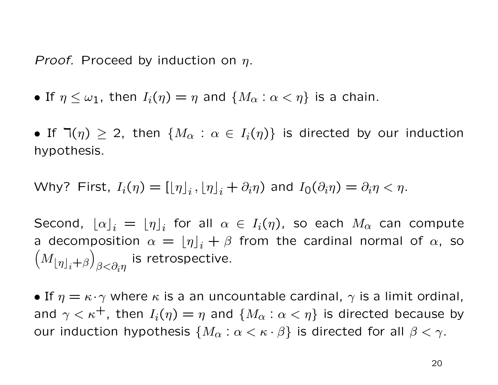*Proof.* Proceed by induction on  $\eta$ .

- If  $\eta \leq \omega_1$ , then  $I_i(\eta) = \eta$  and  $\{M_\alpha : \alpha < \eta\}$  is a chain.
- If  $\exists(\eta) \geq 2$ , then  $\{M_{\alpha} : \alpha \in I_i(\eta)\}\$  is directed by our induction hypothesis.

Why? First, 
$$
I_i(\eta) = [[\eta]_i, [\eta]_i + \partial_i \eta)
$$
 and  $I_0(\partial_i \eta) = \partial_i \eta < \eta$ .

Second,  $\lfloor \alpha \rfloor_i \ = \ \lfloor \eta \rfloor_i$  for all  $\alpha \ \in \ I_i(\eta)$ , so each  $M_{\alpha}$  can compute a decomposition  $\alpha = [\eta]_i + \beta$  from the cardinal normal of  $\alpha$ , so  $\left(M_{\lfloor\eta\rfloor_i+\beta}\right)$  $\beta{<}\partial_i\eta$ is retrospective.

• If  $\eta = \kappa \cdot \gamma$  where  $\kappa$  is a an uncountable cardinal,  $\gamma$  is a limit ordinal, and  $\gamma < \kappa^+$ , then  $I_i(\eta) = \eta$  and  $\{M_\alpha : \alpha < \eta\}$  is directed because by our induction hypothesis  $\{M_{\alpha}: \alpha < \kappa \cdot \beta\}$  is directed for all  $\beta < \gamma$ .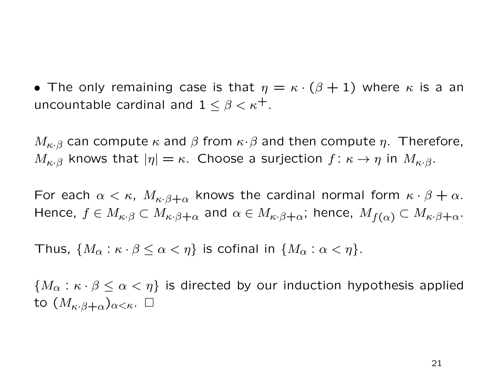• The only remaining case is that  $\eta = \kappa \cdot (\beta + 1)$  where  $\kappa$  is a an uncountable cardinal and  $1 \leq \beta < \kappa^+$ .

 $M_{\kappa,\beta}$  can compute  $\kappa$  and  $\beta$  from  $\kappa\cdot\beta$  and then compute  $\eta$ . Therefore,  $M_{\kappa\cdot\beta}$  knows that  $|\eta| = \kappa$ . Choose a surjection  $f: \kappa \to \eta$  in  $M_{\kappa\cdot\beta}$ .

For each  $\alpha < \kappa$ ,  $M_{\kappa \cdot \beta + \alpha}$  knows the cardinal normal form  $\kappa \cdot \beta + \alpha$ . Hence,  $f \in M_{\kappa}$ ,  $\in M_{\kappa}$ ,  $\beta+\alpha$  and  $\alpha \in M_{\kappa}$ ,  $\beta+\alpha$ ; hence,  $M_{f(\alpha)} \subset M_{\kappa}$ ,  $\beta+\alpha$ .

Thus,  $\{M_\alpha : \kappa \cdot \beta \leq \alpha < \eta\}$  is cofinal in  $\{M_\alpha : \alpha < \eta\}.$ 

 $\{M_{\alpha}: \kappa \cdot \beta \leq \alpha < \eta\}$  is directed by our induction hypothesis applied to  $(M_{\kappa\cdot\beta+\alpha})_{\alpha<\kappa}$ .  $\square$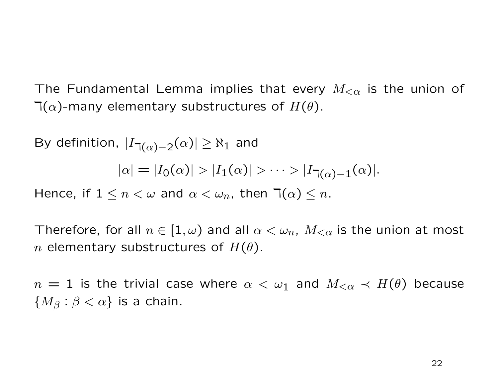The Fundamental Lemma implies that every  $M_{<\alpha}$  is the union of  $\mathcal{T}(\alpha)$ -many elementary substructures of  $H(\theta)$ .

By definition,  $|I_{\mathbb{I}(\alpha)-2}(\alpha)| \geq \aleph_1$  and

$$
|\alpha| = |I_0(\alpha)| > |I_1(\alpha)| > \cdots > |I_{\mathbb{I}(\alpha)-1}(\alpha)|.
$$

Hence, if  $1 \leq n < \omega$  and  $\alpha < \omega_n$ , then  $\exists (\alpha) \leq n$ .

Therefore, for all  $n \in [1, \omega)$  and all  $\alpha < \omega_n$ ,  $M_{\leq \alpha}$  is the union at most n elementary substructures of  $H(\theta)$ .

 $n = 1$  is the trivial case where  $\alpha < \omega_1$  and  $M_{<\alpha} \prec H(\theta)$  because  ${M_\beta : \beta < \alpha}$  is a chain.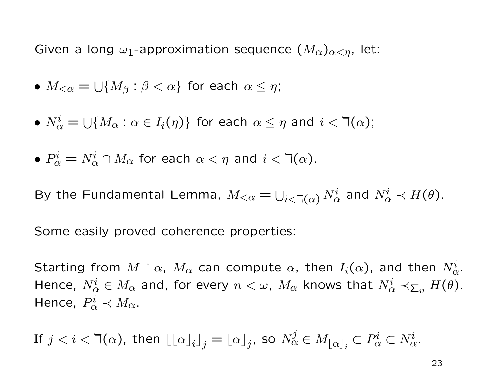Given a long  $\omega_1$ -approximation sequence  $(M_\alpha)_{\alpha<\eta}$ , let:

- $\bullet$   $M_{<\alpha}=\bigcup\{M_{\beta}:\beta<\alpha\}$  for each  $\alpha\leq\eta;$
- $\bullet\ N^i_\alpha=\cup\{M_\alpha:\alpha\in I_i(\eta)\}$  for each  $\alpha\leq\eta$  and  $i<\daleth(\alpha);$

• 
$$
P^i_\alpha = N^i_\alpha \cap M_\alpha
$$
 for each  $\alpha < \eta$  and  $i < \mathbb{I}(\alpha)$ .

By the Fundamental Lemma,  $M_{\leq \alpha} = \bigcup_{i \leq \mathbb{k}(\alpha)} N_{\alpha}^i$  and  $N_{\alpha}^i \prec H(\theta)$ .

Some easily proved coherence properties:

Starting from  $\overline{M}\restriction \alpha$ ,  $M_{\alpha}$  can compute  $\alpha$ , then  $I_{i}(\alpha)$ , and then  $N_{\alpha}^{i}.$ Hence,  $N^i_\alpha \in M_\alpha$  and, for every  $n < \omega$ ,  $M_\alpha$  knows that  $N^i_\alpha \prec_{\Sigma_n} H(\theta)$ . Hence,  $P^i_\alpha \prec M_\alpha$ .

If  $j < i < \daleth(\alpha)$ , then  $\lfloor \lfloor \alpha \rfloor_i \rfloor_j = \lfloor \alpha \rfloor_j$ , so  $N^j_\alpha \in M_{\lfloor \alpha \rfloor_i} \subset P^i_\alpha \subset N^i_\alpha.$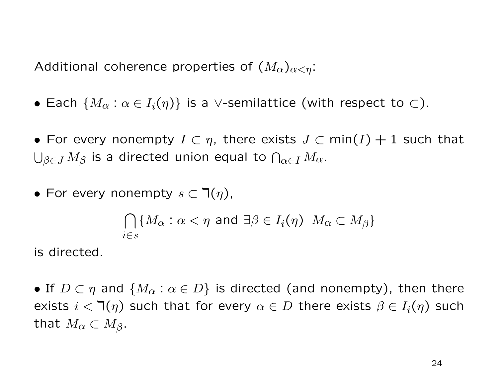Additional coherence properties of  $(M_\alpha)_{\alpha<\eta}$ :

- Each  $\{M_{\alpha}: \alpha \in I_i(\eta)\}\$  is a ∨-semilattice (with respect to  $\subset$ ).
- For every nonempty  $I \subset \eta$ , there exists  $J \subset \min(I) + 1$  such that  $\bigcup_{\beta \in J} M_\beta$  is a directed union equal to  $\bigcap_{\alpha \in I} M_\alpha.$
- For every nonempty  $s \subset \mathbb{k}(\eta)$ ,

$$
\bigcap_{i\in s} \{M_{\alpha} : \alpha < \eta \text{ and } \exists \beta \in I_i(\eta) \ M_{\alpha} \subset M_{\beta} \}
$$

is directed.

• If  $D \subset \eta$  and  $\{M_{\alpha} : \alpha \in D\}$  is directed (and nonempty), then there exists  $i < \mathbb{I}(\eta)$  such that for every  $\alpha \in D$  there exists  $\beta \in I_i(\eta)$  such that  $M_{\alpha} \subset M_{\beta}$ .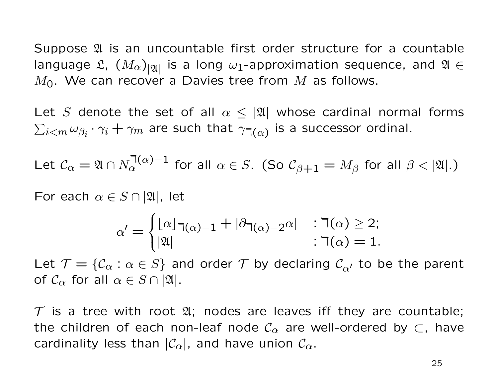Suppose  $\mathfrak A$  is an uncountable first order structure for a countable language  $\mathfrak{L}$ ,  $\left(M_{\alpha}\right)_{|\mathfrak{A}|}$  is a long  $\omega_1$ -approximation sequence, and  $\mathfrak{A} \in$  $M<sub>0</sub>$ . We can recover a Davies tree from  $\overline{M}$  as follows.

Let S denote the set of all  $\alpha \leq |\mathfrak{A}|$  whose cardinal normal forms  $\sum_{i < m} \omega_{\beta_i} \cdot \gamma_i + \gamma_m$  are such that  $\gamma_{\daleth(\alpha)}$  is a successor ordinal.

Let 
$$
\mathcal{C}_{\alpha} = \mathfrak{A} \cap N_{\alpha}^{(\alpha)-1}
$$
 for all  $\alpha \in S$ . (So  $\mathcal{C}_{\beta+1} = M_{\beta}$  for all  $\beta < |\mathfrak{A}|$ .)

For each  $\alpha \in S \cap |\mathfrak{A}|$ , let

$$
\alpha' = \begin{cases} \lfloor \alpha \rfloor_{\lceil \alpha \rceil - 1} + \lceil \partial_{\lceil \alpha \rceil - 2} \alpha \rceil & : \lceil \alpha \rceil \geq 2; \\ \lceil \mathfrak{A} \rceil & : \lceil \alpha \rceil = 1. \end{cases}
$$

Let  $\mathcal{T} = \{ \mathcal{C}_{\alpha} : \alpha \in S \}$  and order  $\mathcal{T}$  by declaring  $\mathcal{C}_{\alpha'}$  to be the parent of  $C_{\alpha}$  for all  $\alpha \in S \cap |\mathfrak{A}|$ .

 $T$  is a tree with root  $\mathfrak{A}$ ; nodes are leaves iff they are countable; the children of each non-leaf node  $\mathcal{C}_{\alpha}$  are well-ordered by  $\subset$ , have cardinality less than  $|\mathcal{C}_{\alpha}|$ , and have union  $\mathcal{C}_{\alpha}$ .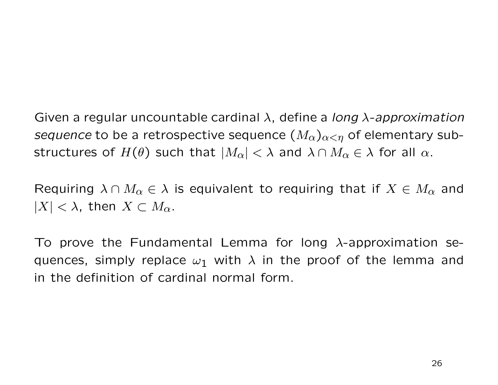Given a regular uncountable cardinal  $\lambda$ , define a long  $\lambda$ -approximation sequence to be a retrospective sequence  $(M_{\alpha})_{\alpha<\eta}$  of elementary substructures of  $H(\theta)$  such that  $|M_{\alpha}| < \lambda$  and  $\lambda \cap M_{\alpha} \in \lambda$  for all  $\alpha$ .

Requiring  $\lambda \cap M_\alpha \in \lambda$  is equivalent to requiring that if  $X \in M_\alpha$  and  $|X| < \lambda$ , then  $X \subset M_{\alpha}$ .

To prove the Fundamental Lemma for long  $\lambda$ -approximation sequences, simply replace  $\omega_1$  with  $\lambda$  in the proof of the lemma and in the definition of cardinal normal form.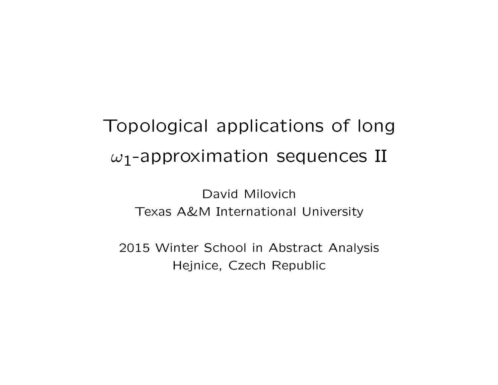# Topological applications of long  $\omega_1$ -approximation sequences II

David Milovich Texas A&M International University

2015 Winter School in Abstract Analysis Hejnice, Czech Republic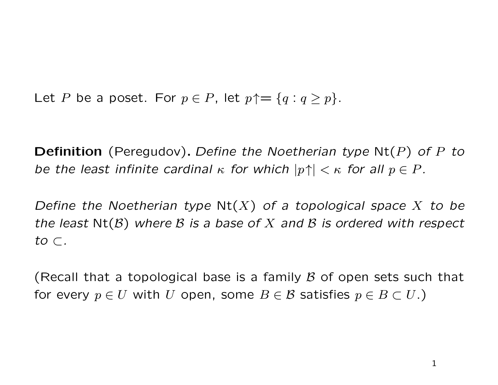Let P be a poset. For  $p \in P$ , let  $p \uparrow = \{q : q \geq p\}.$ 

**Definition** (Peregudov). Define the Noetherian type  $Nt(P)$  of P to be the least infinite cardinal  $\kappa$  for which  $|p\uparrow| < \kappa$  for all  $p \in P$ .

Define the Noetherian type  $Nt(X)$  of a topological space X to be the least  $Nt(B)$  where B is a base of X and B is ordered with respect to ⊂.

(Recall that a topological base is a family  $\beta$  of open sets such that for every  $p \in U$  with U open, some  $B \in \mathcal{B}$  satisfies  $p \in B \subset U$ .)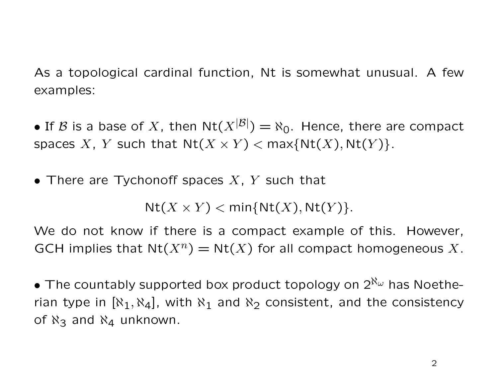As a topological cardinal function, Nt is somewhat unusual. A few examples:

• If B is a base of X, then  $Nt(X^{|\mathcal{B}|}) = \aleph_0$ . Hence, there are compact spaces X, Y such that  $Nt(X \times Y) < \max\{Nt(X), Nt(Y)\}.$ 

• There are Tychonoff spaces  $X$ ,  $Y$  such that

 $Nt(X \times Y) < min\{Nt(X),Nt(Y)\}.$ 

We do not know if there is a compact example of this. However, GCH implies that  $Nt(X^n) = Nt(X)$  for all compact homogeneous X.

• The countably supported box product topology on  $2^{\aleph_{\omega}}$  has Noetherian type in  $[\aleph_1, \aleph_4]$ , with  $\aleph_1$  and  $\aleph_2$  consistent, and the consistency of  $\aleph_3$  and  $\aleph_4$  unknown.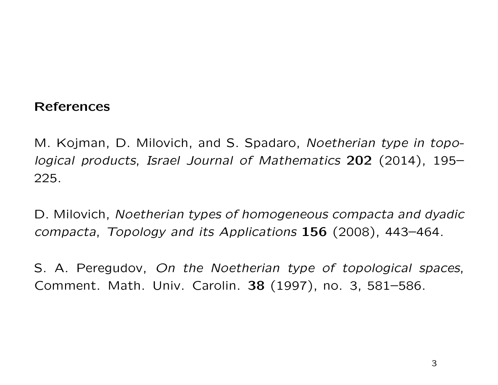### References

M. Kojman, D. Milovich, and S. Spadaro, Noetherian type in topological products, Israel Journal of Mathematics 202 (2014), 195– 225.

D. Milovich, Noetherian types of homogeneous compacta and dyadic compacta, Topology and its Applications 156 (2008), 443–464.

S. A. Peregudov, On the Noetherian type of topological spaces, Comment. Math. Univ. Carolin. 38 (1997), no. 3, 581–586.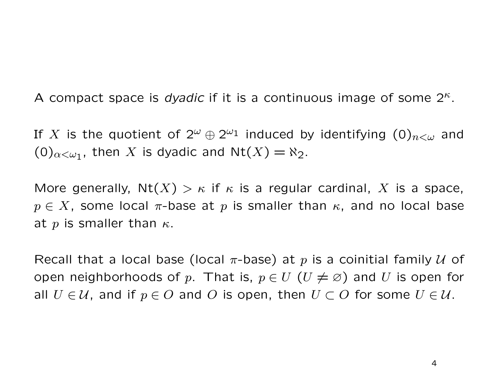A compact space is dyadic if it is a continuous image of some  $2^k$ .

If  $X$  is the quotient of  $2^\omega \oplus 2^{\omega_1}$  induced by identifying  $(0)_{n<\omega}$  and  $(0)_{\alpha<\omega_1}$ , then X is dyadic and  $Nt(X)=\aleph_2$ .

More generally,  $Nt(X) > \kappa$  if  $\kappa$  is a regular cardinal, X is a space,  $p \in X$ , some local  $\pi$ -base at p is smaller than  $\kappa$ , and no local base at p is smaller than  $\kappa$ .

Recall that a local base (local  $\pi$ -base) at p is a coinitial family  $U$  of open neighborhoods of p. That is,  $p \in U$   $(U \neq \varnothing)$  and U is open for all  $U \in \mathcal{U}$ , and if  $p \in O$  and O is open, then  $U \subset O$  for some  $U \in \mathcal{U}$ .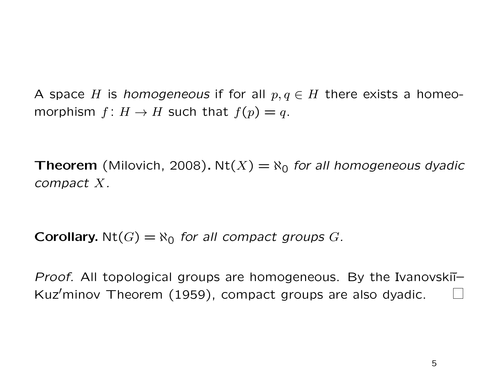A space H is homogeneous if for all  $p, q \in H$  there exists a homeomorphism  $f: H \to H$  such that  $f(p) = q$ .

**Theorem** (Milovich, 2008). Nt(X) =  $\aleph_0$  for all homogeneous dyadic compact X.

**Corollary.** Nt(G)  $=$   $\aleph_0$  for all compact groups G.

*Proof.* All topological groups are homogeneous. By the Ivanovski $\overline{I}$ Kuz'minov Theorem  $(1959)$ , compact groups are also dyadic.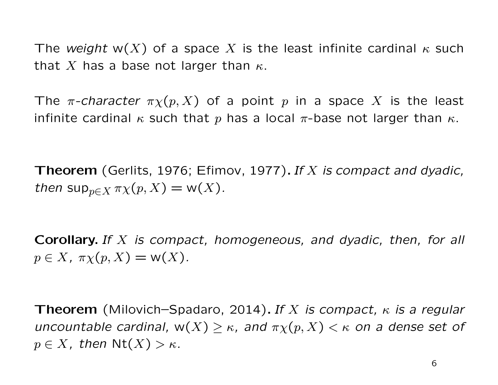The weight w(X) of a space X is the least infinite cardinal  $\kappa$  such that X has a base not larger than  $\kappa$ .

The  $\pi$ -character  $\pi \chi(p, X)$  of a point p in a space X is the least infinite cardinal  $\kappa$  such that p has a local  $\pi$ -base not larger than  $\kappa$ .

**Theorem** (Gerlits, 1976; Efimov, 1977). If X is compact and dyadic, then  $\sup_{p\in X}\pi\chi(p,X)=\mathsf{w}(X)$ .

**Corollary.** If  $X$  is compact, homogeneous, and dyadic, then, for all  $p \in X$ ,  $\pi \chi(p, X) = \mathsf{w}(X)$ .

**Theorem** (Milovich–Spadaro, 2014). If X is compact,  $\kappa$  is a regular uncountable cardinal,  $w(X) \geq \kappa$ , and  $\pi \chi(p, X) < \kappa$  on a dense set of  $p \in X$ , then  $Nt(X) > \kappa$ .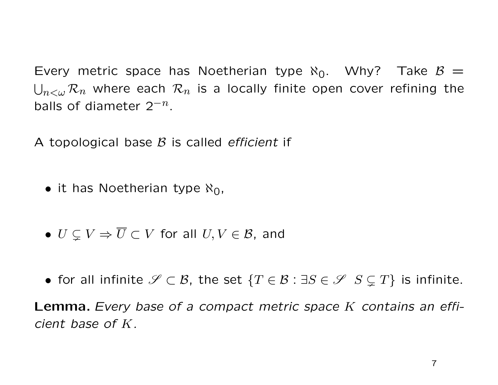Every metric space has Noetherian type  $\aleph_0$ . Why? Take  $\beta =$  $\bigcup_{n<\omega}\mathcal{R}_n$  where each  $\mathcal{R}_n$  is a locally finite open cover refining the balls of diameter  $2^{-n}$ .

A topological base  $\beta$  is called *efficient* if

- it has Noetherian type  $\aleph_0$ ,
- $U \subseteq V \Rightarrow \overline{U} \subset V$  for all  $U, V \in \mathcal{B}$ , and
- for all infinite  $\mathscr{S} \subset \mathcal{B}$ , the set  $\{T \in \mathcal{B} : \exists S \in \mathscr{S} \: S \subseteq T\}$  is infinite.

**Lemma.** Every base of a compact metric space K contains an efficient base of K.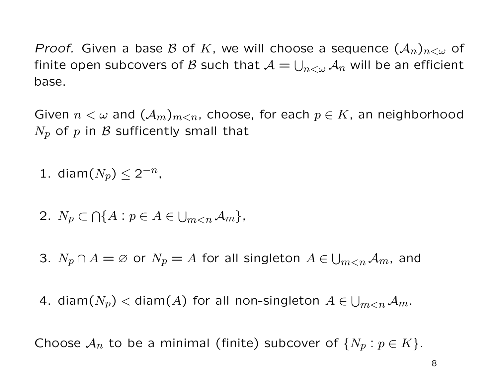*Proof.* Given a base B of K, we will choose a sequence  $(A_n)_{n<\omega}$  of finite open subcovers of  ${\mathcal{B}}$  such that  ${\mathcal{A}} = \bigcup_{n<\omega}{\mathcal{A}}_n$  will be an efficient base.

Given  $n < \omega$  and  $(\mathcal{A}_m)_{m \leq n}$ , choose, for each  $p \in K$ , an neighborhood  $N_p$  of p in B sufficently small that

- 1. diam $(N_p) \leq 2^{-n}$ ,
- 2.  $\overline{N_p} \subset \bigcap \{ A : p \in A \in \bigcup_{m < n} A_m \},\$
- 3.  $N_p \cap A = \varnothing$  or  $N_p = A$  for all singleton  $A \in \bigcup_{m \leq n} A_m$ , and
- 4. diam $(N_p)<$  diam $(A)$  for all non-singleton  $A\in\bigcup_{m< n}\mathcal{A}_m.$

Choose  $\mathcal{A}_n$  to be a minimal (finite) subcover of  $\{N_p : p \in K\}$ .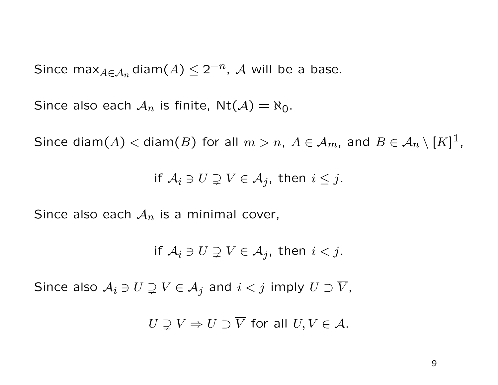Since max $_{A\in\mathcal{A}_n}$ diam $(A)\leq 2^{-n}$ ,  $\mathcal{A}$  will be a base.

Since also each  $A_n$  is finite,  $Nt(A) = \aleph_0$ .

Since diam $(A) <$  diam $(B)$  for all  $m > n$ ,  $A \in A_m$ , and  $B \in \mathcal{A}_n \setminus [K]^1$ ,

if  $A_i \ni U \supsetneq V \in A_j$ , then  $i \leq j$ .

Since also each  $A_n$  is a minimal cover,

$$
\text{if } A_i \ni U \supsetneq V \in \mathcal{A}_j \text{, then } i < j.
$$

Since also  $A_i \ni U \supsetneq V \in A_j$  and  $i < j$  imply  $U \supset \overline{V}$ ,

 $U \supseteq V \Rightarrow U \supset \overline{V}$  for all  $U, V \in \mathcal{A}$ .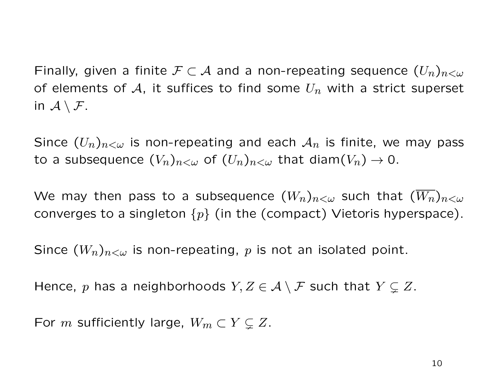Finally, given a finite  $\mathcal{F} \subset \mathcal{A}$  and a non-repeating sequence  $(U_n)_{n<\omega}$ of elements of A, it suffices to find some  $U_n$  with a strict superset in  $A \setminus F$ .

Since  $(U_n)_{n<\omega}$  is non-repeating and each  $\mathcal{A}_n$  is finite, we may pass to a subsequence  $(V_n)_{n<\omega}$  of  $(U_n)_{n<\omega}$  that diam $(V_n)\to 0$ .

We may then pass to a subsequence  $(W_n)_{n<\omega}$  such that  $(W_n)_{n<\omega}$ converges to a singleton  $\{p\}$  (in the (compact) Vietoris hyperspace).

Since  $(W_n)_{n<\omega}$  is non-repeating, p is not an isolated point.

Hence, p has a neighborhoods  $Y, Z \in \mathcal{A} \setminus \mathcal{F}$  such that  $Y \subsetneq Z$ .

For m sufficiently large,  $W_m \subset Y \subsetneq Z$ .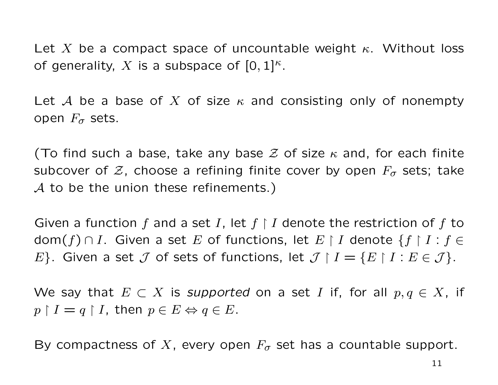Let X be a compact space of uncountable weight  $\kappa$ . Without loss of generality, X is a subspace of  $[0,1]^{\kappa}$ .

Let A be a base of X of size  $\kappa$  and consisting only of nonempty open  $F_{\sigma}$  sets.

(To find such a base, take any base  $\mathcal Z$  of size  $\kappa$  and, for each finite subcover of  $\mathcal{Z}$ , choose a refining finite cover by open  $F_{\sigma}$  sets; take  $A$  to be the union these refinements.)

Given a function f and a set I, let  $f \restriction I$  denote the restriction of f to dom $(f) \cap I$ . Given a set E of functions, let  $E \restriction I$  denote  $\{f \restriction I : f \in I\}$ E}. Given a set  $\mathcal J$  of sets of functions, let  $\mathcal J \restriction I = \{E \restriction I : E \in \mathcal J\}.$ 

We say that  $E \subset X$  is supported on a set I if, for all  $p, q \in X$ , if  $p \restriction I = q \restriction I$ , then  $p \in E \Leftrightarrow q \in E$ .

By compactness of X, every open  $F_{\sigma}$  set has a countable support.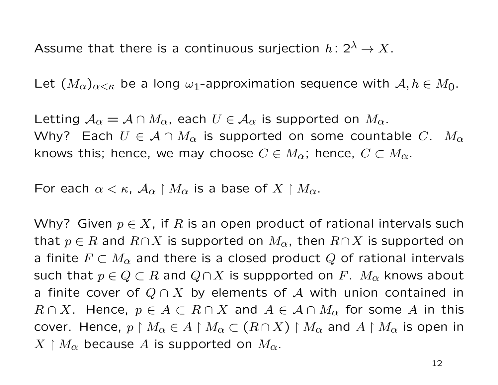Assume that there is a continuous surjection  $h: 2^{\lambda} \to X$ .

Let  $(M_{\alpha})_{\alpha<\kappa}$  be a long  $\omega_1$ -approximation sequence with  $\mathcal{A}, h\in M_0$ .

Letting  $A_{\alpha} = A \cap M_{\alpha}$ , each  $U \in A_{\alpha}$  is supported on  $M_{\alpha}$ . Why? Each  $U \in \mathcal{A} \cap M_{\alpha}$  is supported on some countable C.  $M_{\alpha}$ knows this; hence, we may choose  $C \in M_{\alpha}$ ; hence,  $C \subset M_{\alpha}$ .

For each  $\alpha < \kappa$ ,  $\mathcal{A}_{\alpha} \restriction M_{\alpha}$  is a base of  $X \restriction M_{\alpha}$ .

Why? Given  $p \in X$ , if R is an open product of rational intervals such that  $p \in R$  and  $R \cap X$  is supported on  $M_{\alpha}$ , then  $R \cap X$  is supported on a finite  $F \subset M_\alpha$  and there is a closed product Q of rational intervals such that  $p \in Q \subset R$  and  $Q \cap X$  is suppported on F.  $M_{\alpha}$  knows about a finite cover of  $Q \cap X$  by elements of A with union contained in  $R \cap X$ . Hence,  $p \in A \subset R \cap X$  and  $A \in A \cap M_{\alpha}$  for some A in this cover. Hence,  $p \restriction M_\alpha \in A \restriction M_\alpha \subset (R \cap X) \restriction M_\alpha$  and  $A \restriction M_\alpha$  is open in  $X \restriction M_{\alpha}$  because A is supported on  $M_{\alpha}$ .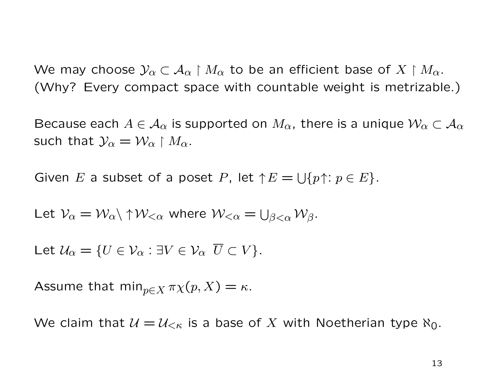We may choose  $\mathcal{Y}_\alpha \subset \mathcal{A}_\alpha \restriction M_\alpha$  to be an efficient base of  $X \restriction M_\alpha$ . (Why? Every compact space with countable weight is metrizable.)

Because each  $A \in \mathcal{A}_{\alpha}$  is supported on  $M_{\alpha}$ , there is a unique  $\mathcal{W}_{\alpha} \subset \mathcal{A}_{\alpha}$ such that  $\mathcal{Y}_{\alpha} = \mathcal{W}_{\alpha} \restriction M_{\alpha}$ .

Given E a subset of a poset P, let  $\uparrow E = \bigcup \{p \uparrow : p \in E\}.$ 

Let 
$$
V_{\alpha} = W_{\alpha} \setminus \uparrow W_{<\alpha}
$$
 where  $W_{<\alpha} = \bigcup_{\beta<\alpha} W_{\beta}$ .

Let  $U_{\alpha} = \{U \in \mathcal{V}_{\alpha} : \exists V \in \mathcal{V}_{\alpha} \ \overline{U} \subset V\}.$ 

Assume that  $\min_{p \in X} \pi \chi(p, X) = \kappa$ .

We claim that  $\mathcal{U} = \mathcal{U}_{\leq \kappa}$  is a base of X with Noetherian type  $\aleph_0$ .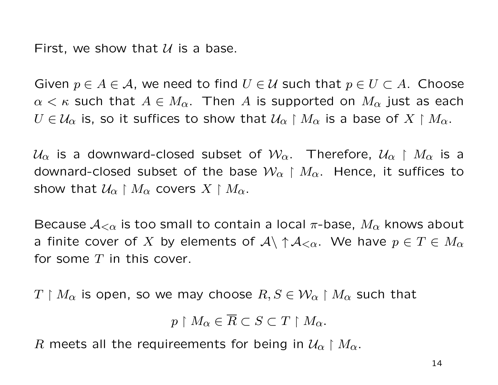First, we show that  $U$  is a base.

Given  $p \in A \in \mathcal{A}$ , we need to find  $U \in \mathcal{U}$  such that  $p \in U \subset A$ . Choose  $\alpha < \kappa$  such that  $A \in M_{\alpha}$ . Then A is supported on  $M_{\alpha}$  just as each  $U\in\mathcal{U}_{\alpha}$  is, so it suffices to show that  $\mathcal{U}_{\alpha}\restriction M_{\alpha}$  is a base of  $X\restriction M_{\alpha}$ .

 $U_{\alpha}$  is a downward-closed subset of  $\mathcal{W}_{\alpha}$ . Therefore,  $\mathcal{U}_{\alpha} \restriction M_{\alpha}$  is a downard-closed subset of the base  $\mathcal{W}_{\alpha} \restriction M_{\alpha}$ . Hence, it suffices to show that  $\mathcal{U}_{\alpha} \restriction M_{\alpha}$  covers  $X \restriction M_{\alpha}$ .

Because  $A_{\leq \alpha}$  is too small to contain a local  $\pi$ -base,  $M_{\alpha}$  knows about a finite cover of X by elements of  $\mathcal{A}\setminus\uparrow\mathcal{A}_{\leq\alpha}$ . We have  $p\in T\in M_\alpha$ for some  $T$  in this cover.

 $T \restriction M_{\alpha}$  is open, so we may choose  $R, S \in \mathcal{W}_{\alpha} \restriction M_{\alpha}$  such that

$$
p \upharpoonright M_{\alpha} \in \overline{R} \subset S \subset T \upharpoonright M_{\alpha}.
$$

R meets all the requireements for being in  $\mathcal{U}_{\alpha} \restriction M_{\alpha}$ .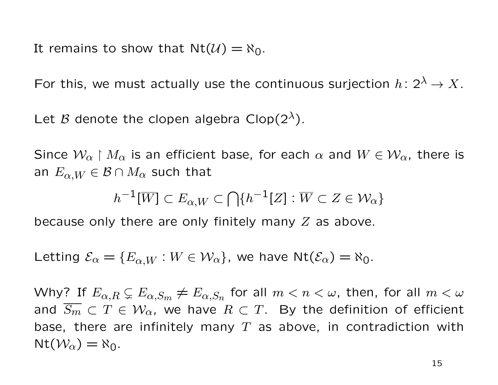It remains to show that  $Nt(\mathcal{U}) = \aleph_0$ .

For this, we must actually use the continuous surjection  $h: 2^{\lambda} \to X$ .

Let B denote the clopen algebra Clop( $2^{\lambda}$ ).

Since  $W_{\alpha} \restriction M_{\alpha}$  is an efficient base, for each  $\alpha$  and  $W \in W_{\alpha}$ , there is an  $E_{\alpha,W} \in \mathcal{B} \cap M_{\alpha}$  such that

$$
h^{-1}[\overline{W}] \subset E_{\alpha,W} \subset \bigcap \{ h^{-1}[Z] : \overline{W} \subset Z \in \mathcal{W}_{\alpha} \}
$$

because only there are only finitely many  $Z$  as above.

Letting  $\mathcal{E}_{\alpha} = \{E_{\alpha,W} : W \in \mathcal{W}_{\alpha}\}\$ , we have  $\mathrm{Nt}(\mathcal{E}_{\alpha}) = \aleph_0$ .

Why? If  $E_{\alpha,R}\subsetneq E_{\alpha,S_m}\neq E_{\alpha,S_n}$  for all  $m < n < \omega$ , then, for all  $m < \omega$ and  $\overline{S_m} \subset T \in \mathcal{W}_{\alpha}$ , we have  $R \subset T$ . By the definition of efficient base, there are infinitely many  $T$  as above, in contradiction with  $Nt(\mathcal{W}_{\alpha}) = \aleph_0.$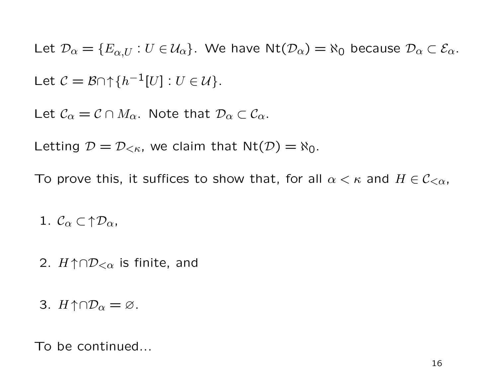Let  $\mathcal{D}_{\alpha} = \{E_{\alpha,U} : U \in \mathcal{U}_{\alpha}\}\$ . We have  $\mathsf{Nt}(\mathcal{D}_{\alpha}) = \aleph_0$  because  $\mathcal{D}_{\alpha} \subset \mathcal{E}_{\alpha}$ . Let  $C = \mathcal{B} \cap \{h^{-1}[U] : U \in \mathcal{U}\}.$ 

Let  $\mathcal{C}_{\alpha} = \mathcal{C} \cap M_{\alpha}$ . Note that  $\mathcal{D}_{\alpha} \subset \mathcal{C}_{\alpha}$ .

Letting  $\mathcal{D} = \mathcal{D}_{<\kappa}$ , we claim that  $\text{Nt}(\mathcal{D}) = \aleph_0$ .

To prove this, it suffices to show that, for all  $\alpha < \kappa$  and  $H \in \mathcal{C}_{<\alpha}$ ,

1.  $\mathcal{C}_{\alpha} \subset \Uparrow \mathcal{D}_{\alpha}$ ,

2.  $H \uparrow \cap \mathcal{D}_{< \alpha}$  is finite, and

3.  $H \uparrow \cap \mathcal{D}_{\alpha} = \varnothing$ .

To be continued...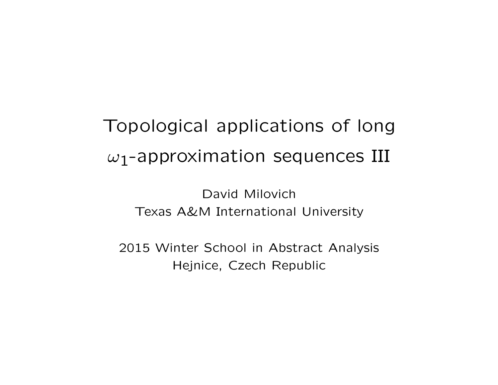# Topological applications of long  $\omega_1$ -approximation sequences III

David Milovich Texas A&M International University

2015 Winter School in Abstract Analysis Hejnice, Czech Republic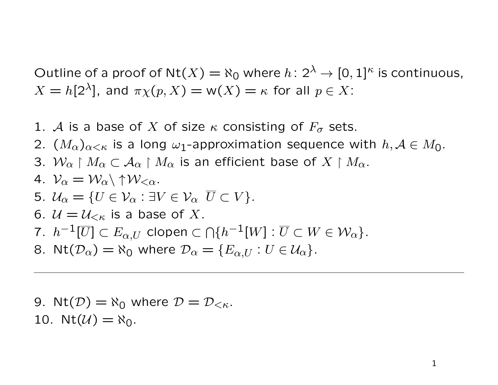Outline of a proof of Nt $(X) = \aleph_0$  where  $h: 2^{\lambda} \to [0, 1]^{\kappa}$  is continuous,  $X = h[2^{\lambda}]$ , and  $\pi \chi(p, X) = w(X) = \kappa$  for all  $p \in X$ :

- 1. A is a base of X of size  $\kappa$  consisting of  $F_{\sigma}$  sets.
- 2.  $(M_{\alpha})_{\alpha<\kappa}$  is a long  $\omega_1$ -approximation sequence with  $h, A\in M_0$ .
- 3.  $W_{\alpha} \restriction M_{\alpha} \subset A_{\alpha} \restriction M_{\alpha}$  is an efficient base of  $X \restriction M_{\alpha}$ .

4. 
$$
\mathcal{V}_{\alpha} = \mathcal{W}_{\alpha} \setminus \uparrow \mathcal{W}_{<\alpha}.
$$

- 5.  $U_{\alpha} = \{U \in \mathcal{V}_{\alpha} : \exists V \in \mathcal{V}_{\alpha} \ \overline{U} \subset V\}.$
- 6.  $\mathcal{U} = \mathcal{U}_{\leq \kappa}$  is a base of X.
- 7.  $h^{-1}[\overline{U}]\subset E_{\alpha,U}$  clopen  $\subset\bigcap\{h^{-1}[W]:\overline{U}\subset W\in\mathcal{W}_\alpha\}.$
- 8. Nt $(\mathcal{D}_{\alpha}) = \aleph_0$  where  $\mathcal{D}_{\alpha} = \{E_{\alpha,U} : U \in \mathcal{U}_{\alpha}\}.$

9. 
$$
\text{Nt}(\mathcal{D}) = \aleph_0
$$
 where  $\mathcal{D} = \mathcal{D}_{\lt \kappa}$ .  
10.  $\text{Nt}(\mathcal{U}) = \aleph_0$ .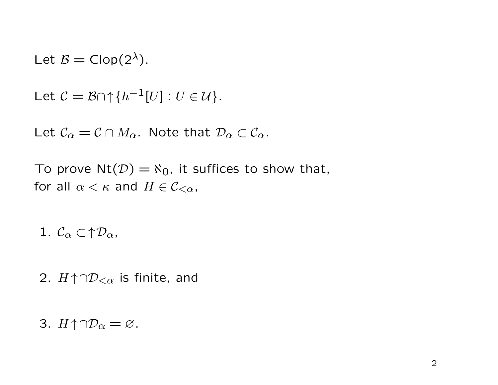Let  $\mathcal{B} = \text{Clop}(2^{\lambda})$ .

Let 
$$
C = \mathcal{B} \cap \{h^{-1}[U] : U \in \mathcal{U}\}.
$$

Let  $C_{\alpha} = C \cap M_{\alpha}$ . Note that  $\mathcal{D}_{\alpha} \subset \mathcal{C}_{\alpha}$ .

To prove  $Nt(\mathcal{D}) = \aleph_0$ , it suffices to show that, for all  $\alpha < \kappa$  and  $H \in \mathcal{C}_{\leq \alpha}$ ,

1.  $\mathcal{C}_{\alpha} \subset \uparrow \mathcal{D}_{\alpha}$ ,

2.  $H \uparrow \cap \mathcal{D}_{< \alpha}$  is finite, and

3.  $H \uparrow \cap \mathcal{D}_{\alpha} = \emptyset$ .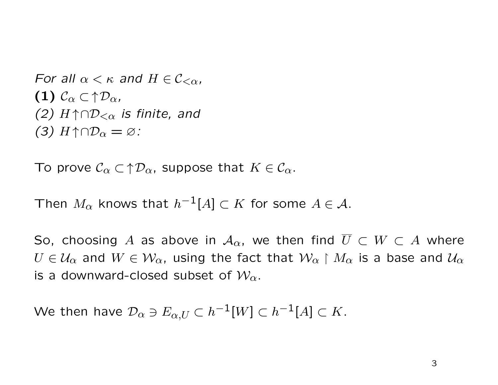For all  $\alpha < \kappa$  and  $H \in C_{\leq \alpha}$ , (1)  $\mathcal{C}_{\alpha} \subset \uparrow \mathcal{D}_{\alpha}$ (2)  $H \uparrow \cap \mathcal{D}_{<\alpha}$  is finite, and (3)  $H \uparrow \cap \mathcal{D}_{\alpha} = \varnothing$ :

To prove  $\mathcal{C}_{\alpha} \subset \uparrow \mathcal{D}_{\alpha}$ , suppose that  $K \in \mathcal{C}_{\alpha}$ .

Then  $M_{\alpha}$  knows that  $h^{-1}[A] \subset K$  for some  $A \in \mathcal{A}$ .

So, choosing A as above in  $\mathcal{A}_{\alpha}$ , we then find  $\overline{U} \subset W \subset A$  where  $U \in \mathcal{U}_{\alpha}$  and  $W \in \mathcal{W}_{\alpha}$ , using the fact that  $\mathcal{W}_{\alpha} \restriction M_{\alpha}$  is a base and  $\mathcal{U}_{\alpha}$ is a downward-closed subset of  $\mathcal{W}_{\alpha}$ .

We then have  $\mathcal{D}_{\alpha}\ni E_{\alpha,U}\subset h^{-1}[W]\subset h^{-1}[A]\subset K.$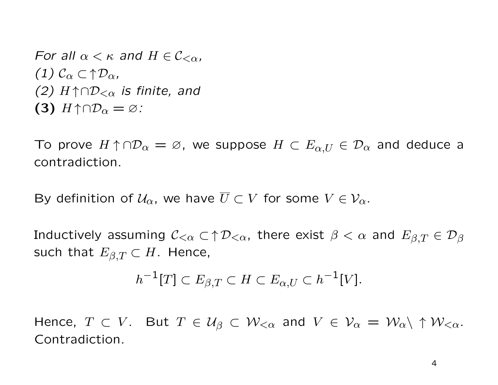For all  $\alpha < \kappa$  and  $H \in C_{\leq \alpha}$ , (1)  $\mathcal{C}_{\alpha} \subset \Uparrow \mathcal{D}_{\alpha}$ (2)  $H \uparrow \cap \mathcal{D}_{<\alpha}$  is finite, and (3)  $H \uparrow \cap \mathcal{D}_{\alpha} = \varnothing$ :

To prove  $H \uparrow \cap \mathcal{D}_\alpha = \varnothing$ , we suppose  $H \subset E_{\alpha,U} \in \mathcal{D}_\alpha$  and deduce a contradiction.

By definition of  $U_{\alpha}$ , we have  $\overline{U} \subset V$  for some  $V \in \mathcal{V}_{\alpha}$ .

Inductively assuming  $C_{\leq \alpha} \subset \uparrow \mathcal{D}_{\leq \alpha}$ , there exist  $\beta < \alpha$  and  $E_{\beta,T} \in \mathcal{D}_{\beta}$ such that  $E_{\beta,T} \subset H$ . Hence,

$$
h^{-1}[T] \subset E_{\beta,T} \subset H \subset E_{\alpha,U} \subset h^{-1}[V].
$$

Hence,  $T \subset V$ . But  $T \in \mathcal{U}_{\beta} \subset \mathcal{W}_{<\alpha}$  and  $V \in \mathcal{V}_{\alpha} = \mathcal{W}_{\alpha} \setminus \uparrow \mathcal{W}_{<\alpha}$ . Contradiction.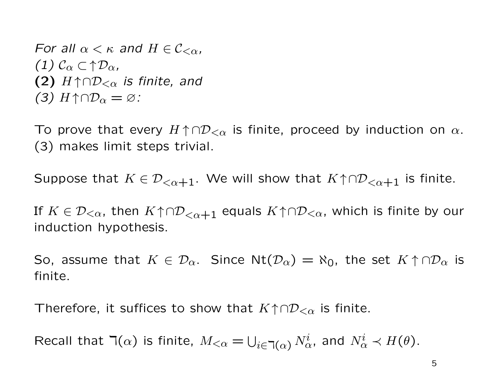For all  $\alpha < \kappa$  and  $H \in C_{\leq \alpha}$ , (1)  $\mathcal{C}_{\alpha} \subset \Uparrow \mathcal{D}_{\alpha}$ (2)  $H \uparrow \cap \mathcal{D}_{<\alpha}$  is finite, and (3)  $H \uparrow \cap \mathcal{D}_{\alpha} = \varnothing$ :

To prove that every  $H \uparrow \cap \mathcal{D}_{< \alpha}$  is finite, proceed by induction on  $\alpha$ . (3) makes limit steps trivial.

Suppose that  $K \in \mathcal{D}_{\leq \alpha+1}$ . We will show that  $K \uparrow \cap \mathcal{D}_{\leq \alpha+1}$  is finite.

If  $K \in \mathcal{D}_{<\alpha}$ , then  $K \uparrow \cap \mathcal{D}_{<\alpha+1}$  equals  $K \uparrow \cap \mathcal{D}_{<\alpha}$ , which is finite by our induction hypothesis.

So, assume that  $K \in \mathcal{D}_{\alpha}$ . Since Nt $(\mathcal{D}_{\alpha}) = \aleph_0$ , the set  $K \uparrow \cap \mathcal{D}_{\alpha}$  is finite.

Therefore, it suffices to show that  $K \nuparrow \cap \mathcal{D}_{< \alpha}$  is finite.

Recall that  $\daleth(\alpha)$  is finite,  $M_{\leq \alpha} = \bigcup_{i \in \daleth(\alpha)} N^i_{\alpha}$ , and  $N^i_{\alpha} \prec H(\theta)$ .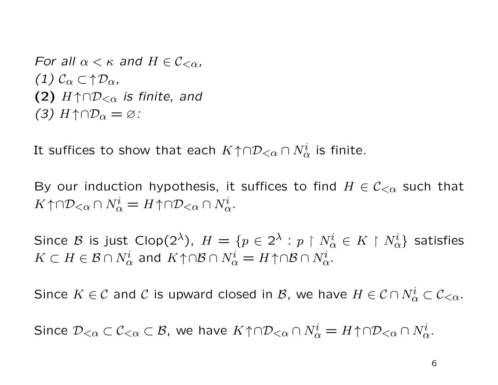For all  $\alpha < \kappa$  and  $H \in C_{\leq \alpha}$ , (1)  $\mathcal{C}_{\alpha} \subset \Uparrow \mathcal{D}_{\alpha}$ (2)  $H \uparrow \cap \mathcal{D}_{< \alpha}$  is finite, and (3)  $H \uparrow \cap \mathcal{D}_{\alpha} = \varnothing$ :

It suffices to show that each  $K \!\uparrow \cap\! {\cal D}_{<\alpha}\cap N^i_\alpha$  is finite.

By our induction hypothesis, it suffices to find  $H \in \mathcal{C}_{\leq \alpha}$  such that  $K \uparrow \cap \mathcal{D}_{<\alpha} \cap N^i_{\alpha} = H \uparrow \cap \mathcal{D}_{<\alpha} \cap N^i_{\alpha}.$ 

Since  ${\cal B}$  is just Clop $(2^\lambda ),\; H=\{p\in 2^\lambda : p\restriction N^i_\alpha \in K\restriction N^i_\alpha \}$  satisfies  $K\subset H\in {\cal B}\cap N^i_{\alpha}$  and  $K\!\uparrow\cap\!{\cal B}\cap N^i_{\alpha}=H\!\uparrow\cap\!{\cal B}\cap N^i_{\alpha}.$ 

Since  $K\in\mathcal{C}$  and  $\mathcal{C}$  is upward closed in  $\mathcal{B}$ , we have  $H\in\mathcal{C}\cap N^i_\alpha\subset\mathcal{C}_{<\alpha}.$ 

Since  $\mathcal{D}_{<\alpha}\subset\mathcal{C}_{<\alpha}\subset\mathcal{B}$ , we have  $K\!\uparrow\cap\mathcal{D}_{<\alpha}\cap N^i_\alpha=H\!\uparrow\cap\mathcal{D}_{<\alpha}\cap N^i_\alpha.$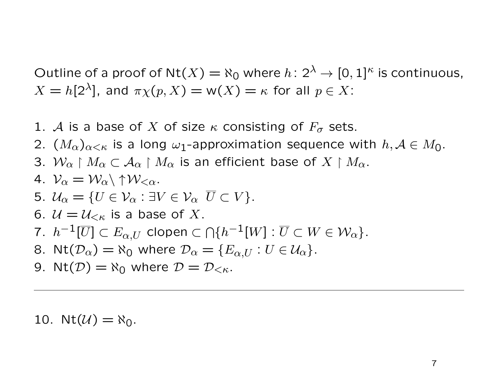Outline of a proof of Nt(X) =  $\aleph_0$  where  $h: 2^{\lambda} \to [0, 1]^{\kappa}$  is continuous,  $X = h[2^{\lambda}]$ , and  $\pi \chi(p, X) = w(X) = \kappa$  for all  $p \in X$ :

- 1. A is a base of X of size  $\kappa$  consisting of  $F_{\sigma}$  sets.
- 2.  $(M_{\alpha})_{\alpha<\kappa}$  is a long  $\omega_1$ -approximation sequence with  $h, A\in M_0$ .
- 3.  $W_{\alpha} \restriction M_{\alpha} \subset A_{\alpha} \restriction M_{\alpha}$  is an efficient base of  $X \restriction M_{\alpha}$ .

4. 
$$
\mathcal{V}_{\alpha} = \mathcal{W}_{\alpha} \setminus \uparrow \mathcal{W}_{<\alpha}.
$$

- 5.  $U_{\alpha} = \{U \in \mathcal{V}_{\alpha} : \exists V \in \mathcal{V}_{\alpha} \ \overline{U} \subset V\}.$
- 6.  $\mathcal{U} = \mathcal{U}_{\leq \kappa}$  is a base of X.

7. 
$$
h^{-1}[\overline{U}] \subset E_{\alpha,U}
$$
 clopen  $\subset \bigcap \{h^{-1}[W] : \overline{U} \subset W \in \mathcal{W}_{\alpha}\}.$ 

- 8. Nt $(\mathcal{D}_{\alpha}) = \aleph_0$  where  $\mathcal{D}_{\alpha} = \{E_{\alpha,U} : U \in \mathcal{U}_{\alpha}\}.$
- 9. Nt $(D) = \aleph_0$  where  $D = D_{\leq \kappa}$ .

10. Nt $(\mathcal{U}) = \aleph_0$ .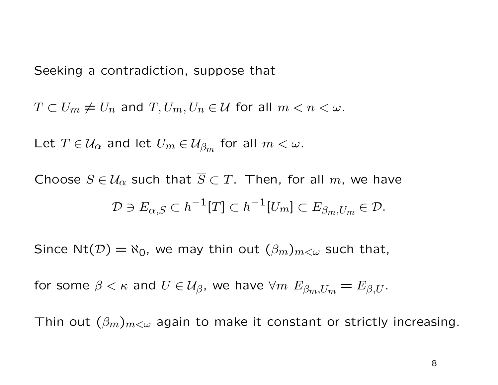Seeking a contradiction, suppose that

 $T \subset U_m \neq U_n$  and  $T, U_m, U_n \in \mathcal{U}$  for all  $m < n < \omega$ .

Let  $T \in \mathcal{U}_{\alpha}$  and let  $U_m \in \mathcal{U}_{\beta_m}$  for all  $m < \omega$ .

Choose  $S \in \mathcal{U}_{\alpha}$  such that  $\overline{S} \subset T$ . Then, for all m, we have  $\mathcal{D} \ni E_{\alpha,S} \subset h^{-1}[T] \subset h^{-1}[U_m] \subset E_{\beta_m,U_m} \in \mathcal{D}.$ 

Since Nt( $\mathcal{D}$ ) =  $\aleph_0$ , we may thin out  $(\beta_m)_{m<\omega}$  such that,

for some  $\beta<\kappa$  and  $U\in\mathcal{U}_{\beta}$ , we have  $\forall m$   $E_{\beta_m,U_m}=E_{\beta,U}.$ 

Thin out  $(\beta_m)_{m<\omega}$  again to make it constant or strictly increasing.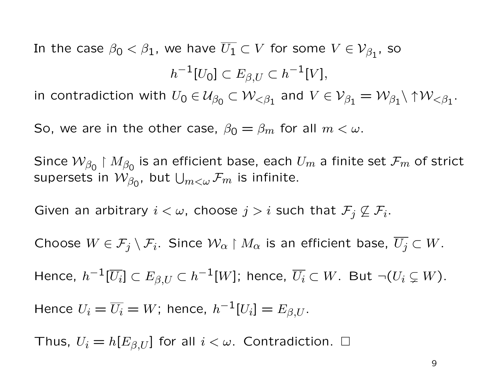In the case  $\beta_0<\beta_1$ , we have  $\overline{U_1}\subset V$  for some  $V\in\mathcal{V}_{\beta_1}$ , so  $h^{-1}[U_0]\subset E_{\beta,U}\subset h^{-1}[V],$ 

in contradiction with  $U_0\in \mathcal{U}_{\beta_0}\subset \mathcal{W}_{<\beta_1}$  and  $V\in \mathcal{V}_{\beta_1}=\mathcal{W}_{\beta_1}\backslash\uparrow\mathcal{W}_{<\beta_1}.$ 

So, we are in the other case,  $\beta_0 = \beta_m$  for all  $m < \omega$ .

Since  $\mathcal{W}_{\beta_0}$  |  $M_{\beta_0}$  is an efficient base, each  $U_m$  a finite set  $\mathcal{F}_m$  of strict supersets in  $\mathcal{W}_{\beta_{\mathsf{0}}},$  but  $\bigcup_{m<\omega}\mathcal{F}_m$  is infinite.

Given an arbitrary  $i < \omega$ , choose  $j > i$  such that  $\mathcal{F}_j \not\subseteq \mathcal{F}_i$ .

Choose  $W \in \mathcal{F}_j \setminus \mathcal{F}_i$ . Since  $\mathcal{W}_\alpha \restriction M_\alpha$  is an efficient base,  $\overline{U_j} \subset W$ .

Hence,  $h^{-1}[\overline{U_i}]\subset E_{\beta,U}\subset h^{-1}[W]$ ; hence,  $\overline{U_i}\subset W.$  But  $\neg(U_i\subsetneq W).$ 

Hence  $U_i = \overline{U_i} = W$ ; hence,  $h^{-1}[U_i] = E_{\beta,U}$ .

Thus,  $U_i = h[E_{\beta,U}]$  for all  $i < \omega$ . Contradiction.  $\square$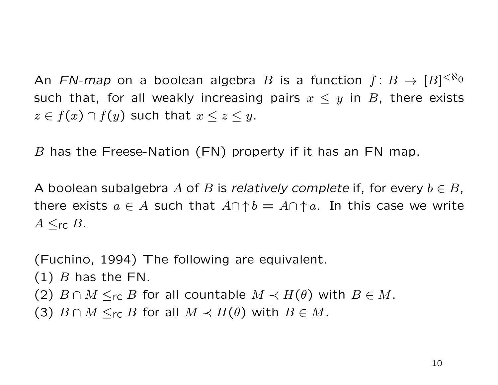An FN-map on a boolean algebra B is a function  $f\colon B\to [B]^{<\aleph_0}$ such that, for all weakly increasing pairs  $x \leq y$  in B, there exists  $z \in f(x) \cap f(y)$  such that  $x \leq z \leq y$ .

B has the Freese-Nation (FN) property if it has an FN map.

A boolean subalgebra A of B is relatively complete if, for every  $b \in B$ , there exists  $a \in A$  such that  $A \cap \uparrow b = A \cap \uparrow a$ . In this case we write  $A \leq_{\mathsf{rc}} B$ .

(Fuchino, 1994) The following are equivalent.  $(1)$  B has the FN. (2)  $B \cap M \leq_{\text{rc}} B$  for all countable  $M \prec H(\theta)$  with  $B \in M$ . (3)  $B \cap M \leq_{\text{rc}} B$  for all  $M \prec H(\theta)$  with  $B \in M$ .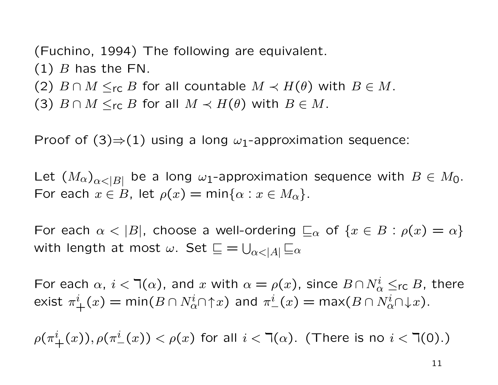(Fuchino, 1994) The following are equivalent.  $(1)$  B has the FN. (2)  $B \cap M \leq_{\text{rc}} B$  for all countable  $M \prec H(\theta)$  with  $B \in M$ . (3)  $B \cap M \leq_{\sf rc} B$  for all  $M \prec H(\theta)$  with  $B \in M$ .

Proof of  $(3) \Rightarrow (1)$  using a long  $\omega_1$ -approximation sequence:

Let  $(M_\alpha)_{\alpha<|B|}$  be a long  $\omega_1$ -approximation sequence with  $B\in M_0$ . For each  $x \in B$ , let  $\rho(x) = \min\{\alpha : x \in M_\alpha\}.$ 

For each  $\alpha < |B|$ , choose a well-ordering  $\sqsubseteq_{\alpha}$  of  $\{x \in B : \rho(x) = \alpha\}$ with length at most  $\omega.$  Set  $\sqsubseteq = \bigcup_{\alpha<|A|}\sqsubseteq_\alpha$ 

For each  $\alpha$ ,  $i < \daleth(\alpha)$ , and  $x$  with  $\alpha = \rho(x)$ , since  $B \cap N_\alpha^i \leq_{\sf rc} B$ , there exist  $\pi^i_+(x) = \min(B \cap N^i_{\alpha} \cap {\uparrow} x)$  and  $\pi^i_-(x) = \max(B \cap N^i_{\alpha} \cap {\downarrow} x).$ 

 $\rho(\pi^i_\text{+}(x)), \rho(\pi^i_\text{-}(x)) < \rho(x)$  for all  $i < \daleth(\alpha)$ . (There is no  $i < \daleth(0).$ )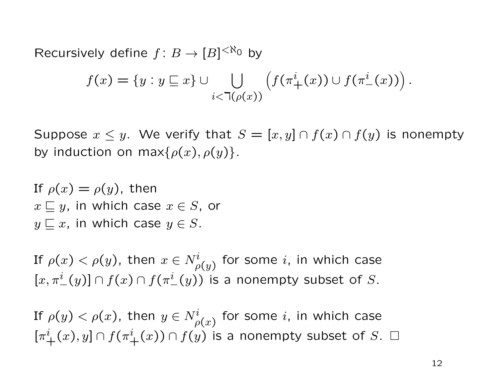Recursively define  $f: B \to [B]^{<\aleph_0}$  by

$$
f(x) = \{y : y \sqsubseteq x\} \cup \bigcup_{i < \mathsf{T}(\rho(x))} \left( f(\pi^i_+(x)) \cup f(\pi^i_-(x)) \right).
$$

Suppose  $x \leq y$ . We verify that  $S = [x, y] \cap f(x) \cap f(y)$  is nonempty by induction on max $\{\rho(x), \rho(y)\}.$ 

If  $\rho(x) = \rho(y)$ , then  $x \sqsubseteq y$ , in which case  $x \in S$ , or  $y \sqsubseteq x$ , in which case  $y \in S$ .

If  $\rho(x)<\rho(y)$ , then  $x\in N^i_{\rho(y)}$  for some  $i$ , in which case  $[x, \pi^i_-(y)] \cap f(x) \cap f(\pi^i_-(y))$  is a nonempty subset of S.

If  $\rho(y)<\rho(x)$ , then  $y\in N_{\rho(x)}^i$  for some  $i$ , in which case  $[\pi^i_+(x),y] \cap f(\pi^i_+(x)) \cap f(y)$  is a nonempty subset of S.  $\square$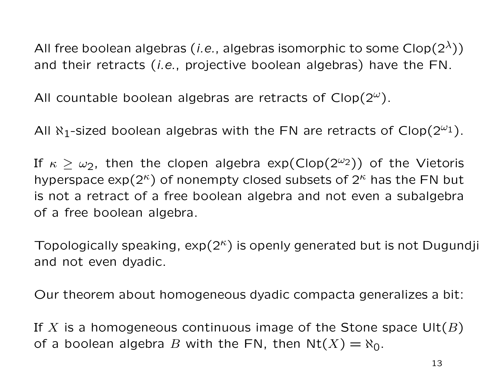All free boolean algebras (*i.e.*, algebras isomorphic to some  $Clop(2^{\lambda})$ ) and their retracts (i.e., projective boolean algebras) have the FN.

All countable boolean algebras are retracts of  $Clop(2^{\omega})$ .

All  $\aleph_1$ -sized boolean algebras with the FN are retracts of Clop( $2^{\omega_1}$ ).

If  $\kappa \geq \omega_2$ , then the clopen algebra  $\exp(\text{Clop}(2^{\omega_2}))$  of the Vietoris hyperspace  $\exp(2^k)$  of nonempty closed subsets of  $2^k$  has the FN but is not a retract of a free boolean algebra and not even a subalgebra of a free boolean algebra.

Topologically speaking,  $exp(2^{\kappa})$  is openly generated but is not Dugundji and not even dyadic.

Our theorem about homogeneous dyadic compacta generalizes a bit:

If X is a homogeneous continuous image of the Stone space  $\text{Ult}(B)$ of a boolean algebra B with the FN, then  $Nt(X) = N_0$ .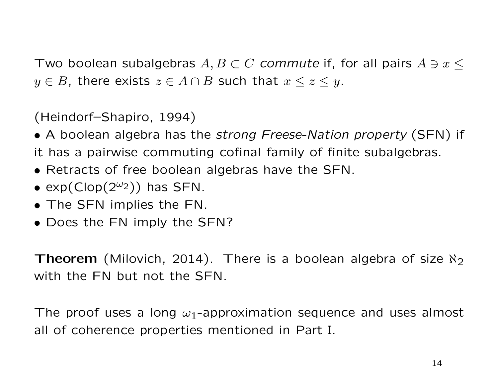Two boolean subalgebras  $A, B \subset C$  commute if, for all pairs  $A \ni x \leq$  $y \in B$ , there exists  $z \in A \cap B$  such that  $x \leq z \leq y$ .

(Heindorf–Shapiro, 1994)

• A boolean algebra has the strong Freese-Nation property (SFN) if

it has a pairwise commuting cofinal family of finite subalgebras.

- Retracts of free boolean algebras have the SFN.
- $exp(Clop(2^{\omega_2}))$  has SFN.
- The SFN implies the FN.
- Does the FN imply the SFN?

**Theorem** (Milovich, 2014). There is a boolean algebra of size  $\aleph_2$ with the FN but not the SFN.

The proof uses a long  $\omega_1$ -approximation sequence and uses almost all of coherence properties mentioned in Part I.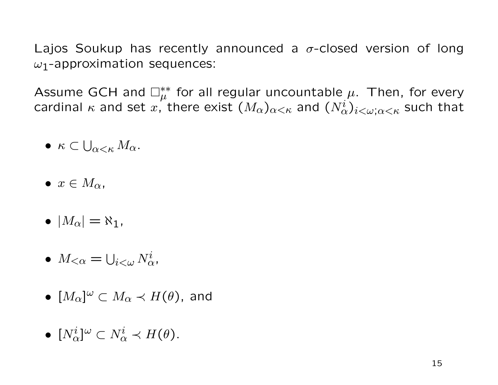Lajos Soukup has recently announced a  $\sigma$ -closed version of long  $\omega_1$ -approximation sequences:

Assume GCH and  $\Box_{\mu}^{**}$  for all regular uncountable  $\mu$ . Then, for every cardinal  $\kappa$  and set  $x$ , there exist  $(M_\alpha)_{\alpha<\kappa}$  and  $(N^i_\alpha)_{i<\omega;\alpha<\kappa}$  such that

- $\bullet \ \kappa \subset \bigcup_{\alpha<\kappa} M_{\alpha}.$
- $\bullet \; x \in M_{\alpha}$
- $\bullet$   $|M_{\alpha}| = \aleph_1$ ,
- $M_{<\alpha} = \bigcup_{i < \omega} N^i_{\alpha}$
- $\bullet~~ [M_{\alpha}]^{\omega} \subset M_{\alpha} \prec H(\theta),$  and
- $\bullet~~ [N^i_{\alpha}]^{\omega} \subset N^i_{\alpha} \prec H(\theta).$